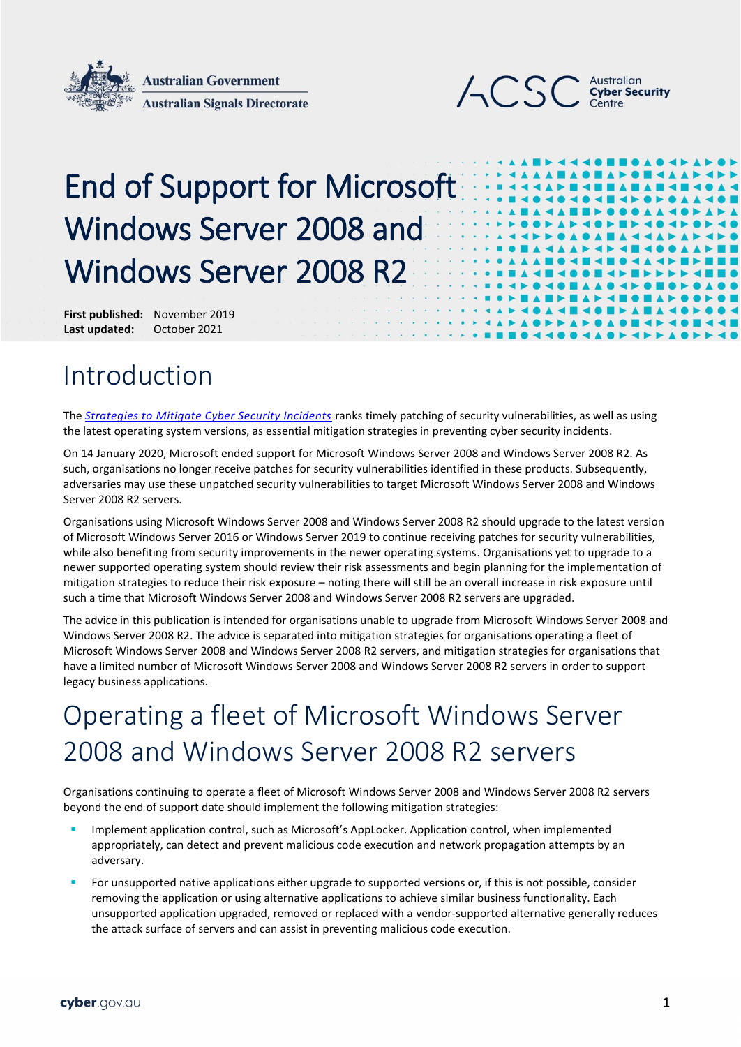



# End of Support for Microsoft Windows Server 2008 and Windows Server 2008 R2

**First published:** November 2019 **Last updated:** October 2021

#### Introduction

The *[Strategies to Mitigate Cyber Security Incidents](https://www.cyber.gov.au/acsc/view-all-content/strategies-to-mitigate-cyber-security-incidents)* ranks timely patching of security vulnerabilities, as well as using the latest operating system versions, as essential mitigation strategies in preventing cyber security incidents.

On 14 January 2020, Microsoft ended support for Microsoft Windows Server 2008 and Windows Server 2008 R2. As such, organisations no longer receive patches for security vulnerabilities identified in these products. Subsequently, adversaries may use these unpatched security vulnerabilities to target Microsoft Windows Server 2008 and Windows Server 2008 R2 servers.

Organisations using Microsoft Windows Server 2008 and Windows Server 2008 R2 should upgrade to the latest version of Microsoft Windows Server 2016 or Windows Server 2019 to continue receiving patches for security vulnerabilities, while also benefiting from security improvements in the newer operating systems. Organisations yet to upgrade to a newer supported operating system should review their risk assessments and begin planning for the implementation of mitigation strategies to reduce their risk exposure – noting there will still be an overall increase in risk exposure until such a time that Microsoft Windows Server 2008 and Windows Server 2008 R2 servers are upgraded.

The advice in this publication is intended for organisations unable to upgrade from Microsoft Windows Server 2008 and Windows Server 2008 R2. The advice is separated into mitigation strategies for organisations operating a fleet of Microsoft Windows Server 2008 and Windows Server 2008 R2 servers, and mitigation strategies for organisations that have a limited number of Microsoft Windows Server 2008 and Windows Server 2008 R2 servers in order to support legacy business applications.

## Operating a fleet of Microsoft Windows Server 2008 and Windows Server 2008 R2 servers

Organisations continuing to operate a fleet of Microsoft Windows Server 2008 and Windows Server 2008 R2 servers beyond the end of support date should implement the following mitigation strategies:

- Implement application control, such as Microsoft's AppLocker. Application control, when implemented appropriately, can detect and prevent malicious code execution and network propagation attempts by an adversary.
- For unsupported native applications either upgrade to supported versions or, if this is not possible, consider removing the application or using alternative applications to achieve similar business functionality. Each unsupported application upgraded, removed or replaced with a vendor-supported alternative generally reduces the attack surface of servers and can assist in preventing malicious code execution.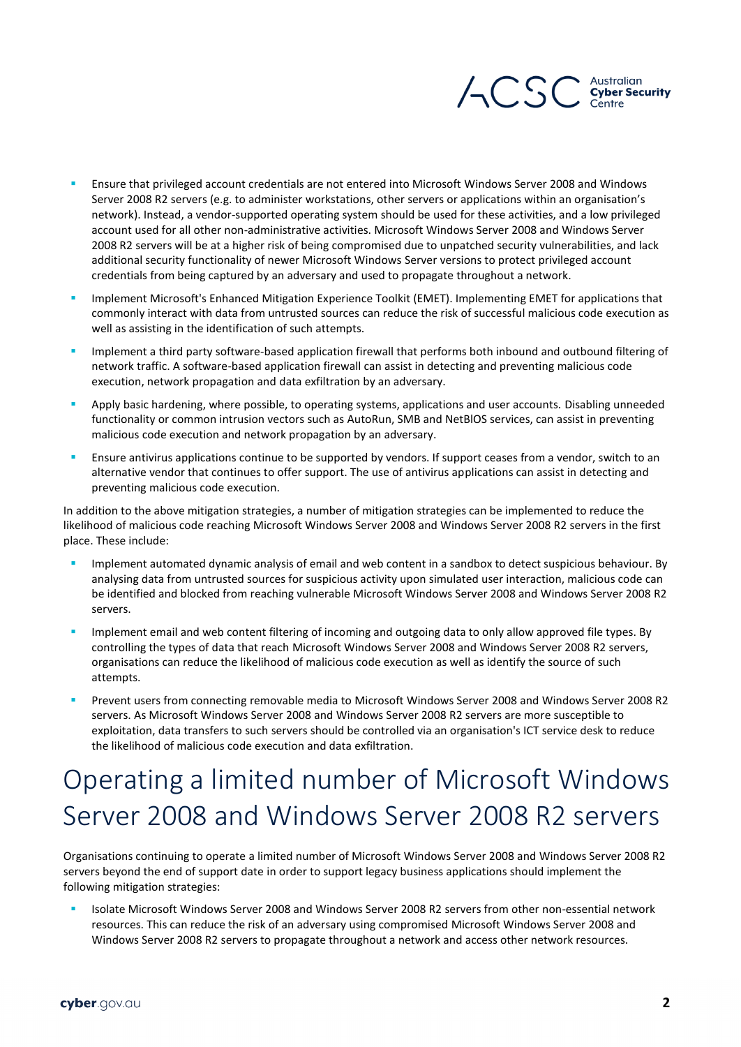

- Ensure that privileged account credentials are not entered into Microsoft Windows Server 2008 and Windows Server 2008 R2 servers (e.g. to administer workstations, other servers or applications within an organisation's network). Instead, a vendor-supported operating system should be used for these activities, and a low privileged account used for all other non-administrative activities. Microsoft Windows Server 2008 and Windows Server 2008 R2 servers will be at a higher risk of being compromised due to unpatched security vulnerabilities, and lack additional security functionality of newer Microsoft Windows Server versions to protect privileged account credentials from being captured by an adversary and used to propagate throughout a network.
- Implement Microsoft's Enhanced Mitigation Experience Toolkit (EMET). Implementing EMET for applications that commonly interact with data from untrusted sources can reduce the risk of successful malicious code execution as well as assisting in the identification of such attempts.
- Implement a third party software-based application firewall that performs both inbound and outbound filtering of network traffic. A software-based application firewall can assist in detecting and preventing malicious code execution, network propagation and data exfiltration by an adversary.
- Apply basic hardening, where possible, to operating systems, applications and user accounts. Disabling unneeded functionality or common intrusion vectors such as AutoRun, SMB and NetBlOS services, can assist in preventing malicious code execution and network propagation by an adversary.
- Ensure antivirus applications continue to be supported by vendors. If support ceases from a vendor, switch to an alternative vendor that continues to offer support. The use of antivirus applications can assist in detecting and preventing malicious code execution.

In addition to the above mitigation strategies, a number of mitigation strategies can be implemented to reduce the likelihood of malicious code reaching Microsoft Windows Server 2008 and Windows Server 2008 R2 servers in the first place. These include:

- Implement automated dynamic analysis of email and web content in a sandbox to detect suspicious behaviour. By analysing data from untrusted sources for suspicious activity upon simulated user interaction, malicious code can be identified and blocked from reaching vulnerable Microsoft Windows Server 2008 and Windows Server 2008 R2 servers.
- Implement email and web content filtering of incoming and outgoing data to only allow approved file types. By controlling the types of data that reach Microsoft Windows Server 2008 and Windows Server 2008 R2 servers, organisations can reduce the likelihood of malicious code execution as well as identify the source of such attempts.
- Prevent users from connecting removable media to Microsoft Windows Server 2008 and Windows Server 2008 R2 servers. As Microsoft Windows Server 2008 and Windows Server 2008 R2 servers are more susceptible to exploitation, data transfers to such servers should be controlled via an organisation's ICT service desk to reduce the likelihood of malicious code execution and data exfiltration.

## Operating a limited number of Microsoft Windows Server 2008 and Windows Server 2008 R2 servers

Organisations continuing to operate a limited number of Microsoft Windows Server 2008 and Windows Server 2008 R2 servers beyond the end of support date in order to support legacy business applications should implement the following mitigation strategies:

 Isolate Microsoft Windows Server 2008 and Windows Server 2008 R2 servers from other non-essential network resources. This can reduce the risk of an adversary using compromised Microsoft Windows Server 2008 and Windows Server 2008 R2 servers to propagate throughout a network and access other network resources.